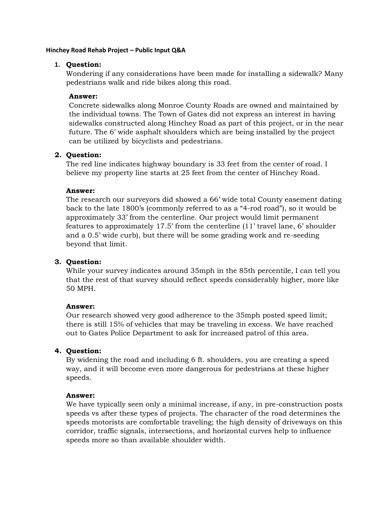#### **Hinchey Road Rehab Project – Public Input Q&A**

#### **1. Question:**

Wondering if any considerations have been made for installing a sidewalk? Many pedestrians walk and ride bikes along this road.

#### **Answer:**

Concrete sidewalks along Monroe County Roads are owned and maintained by the individual towns. The Town of Gates did not express an interest in having sidewalks constructed along Hinchey Road as part of this project, or in the near future. The 6' wide asphalt shoulders which are being installed by the project can be utilized by bicyclists and pedestrians.

## **2. Question:**

The red line indicates highway boundary is 33 feet from the center of road. I believe my property line starts at 25 feet from the center of Hinchey Road.

#### **Answer:**

The research our surveyors did showed a 66' wide total County easement dating back to the late 1800's (commonly referred to as a "4-rod road"), so it would be approximately 33' from the centerline. Our project would limit permanent features to approximately 17.5' from the centerline (11' travel lane, 6' shoulder and a 0.5' wide curb), but there will be some grading work and re-seeding beyond that limit.

## **3. Question:**

While your survey indicates around 35mph in the 85th percentile, I can tell you that the rest of that survey should reflect speeds considerably higher, more like 50 MPH.

## **Answer:**

Our research showed very good adherence to the 35mph posted speed limit; there is still 15% of vehicles that may be traveling in excess. We have reached out to Gates Police Department to ask for increased patrol of this area.

## **4. Question:**

By widening the road and including 6 ft. shoulders, you are creating a speed way, and it will become even more dangerous for pedestrians at these higher speeds.

#### **Answer:**

We have typically seen only a minimal increase, if any, in pre-construction posts speeds vs after these types of projects. The character of the road determines the speeds motorists are comfortable traveling; the high density of driveways on this corridor, traffic signals, intersections, and horizontal curves help to influence speeds more so than available shoulder width.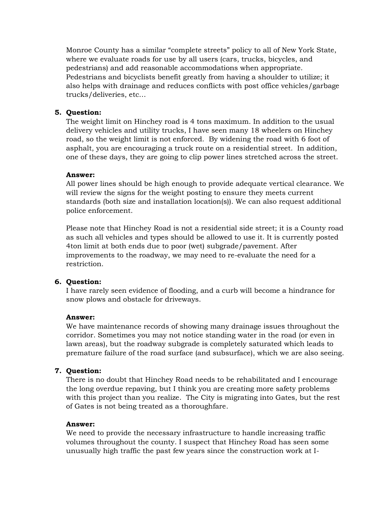Monroe County has a similar "complete streets" policy to all of New York State, where we evaluate roads for use by all users (cars, trucks, bicycles, and pedestrians) and add reasonable accommodations when appropriate. Pedestrians and bicyclists benefit greatly from having a shoulder to utilize; it also helps with drainage and reduces conflicts with post office vehicles/garbage trucks/deliveries, etc…

# **5. Question:**

The weight limit on Hinchey road is 4 tons maximum. In addition to the usual delivery vehicles and utility trucks, I have seen many 18 wheelers on Hinchey road, so the weight limit is not enforced. By widening the road with 6 foot of asphalt, you are encouraging a truck route on a residential street. In addition, one of these days, they are going to clip power lines stretched across the street.

## **Answer:**

All power lines should be high enough to provide adequate vertical clearance. We will review the signs for the weight posting to ensure they meets current standards (both size and installation location(s)). We can also request additional police enforcement.

Please note that Hinchey Road is not a residential side street; it is a County road as such all vehicles and types should be allowed to use it. It is currently posted 4ton limit at both ends due to poor (wet) subgrade/pavement. After improvements to the roadway, we may need to re-evaluate the need for a restriction.

## **6. Question:**

I have rarely seen evidence of flooding, and a curb will become a hindrance for snow plows and obstacle for driveways.

## **Answer:**

We have maintenance records of showing many drainage issues throughout the corridor. Sometimes you may not notice standing water in the road (or even in lawn areas), but the roadway subgrade is completely saturated which leads to premature failure of the road surface (and subsurface), which we are also seeing.

## **7. Question:**

There is no doubt that Hinchey Road needs to be rehabilitated and I encourage the long overdue repaving, but I think you are creating more safety problems with this project than you realize. The City is migrating into Gates, but the rest of Gates is not being treated as a thoroughfare.

#### **Answer:**

We need to provide the necessary infrastructure to handle increasing traffic volumes throughout the county. I suspect that Hinchey Road has seen some unusually high traffic the past few years since the construction work at I-